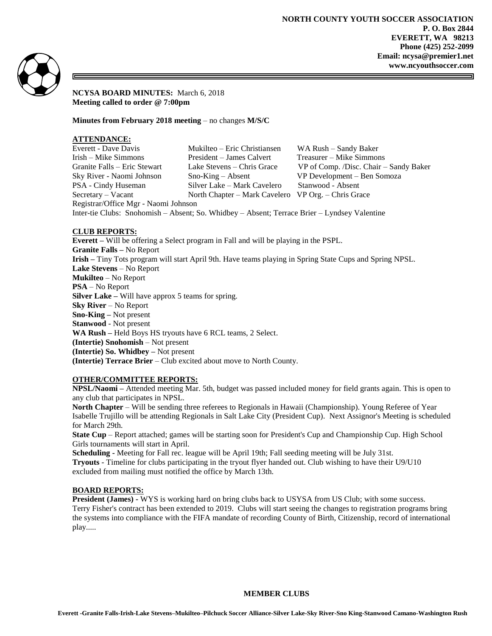

**NCYSA BOARD MINUTES:** March 6, 2018 **Meeting called to order @ 7:00pm**

**Minutes from February 2018 meeting** – no changes **M/S/C**

# **ATTENDANCE:**

| Everett - Dave Davis                                                                         | Mukilteo – Eric Christiansen                        | WA Rush – Sandy Baker                  |
|----------------------------------------------------------------------------------------------|-----------------------------------------------------|----------------------------------------|
| Irish – Mike Simmons                                                                         | President – James Calvert                           | Treasurer – Mike Simmons               |
| Granite Falls – Eric Stewart                                                                 | Lake Stevens – Chris Grace                          | VP of Comp. /Disc. Chair – Sandy Baker |
| Sky River - Naomi Johnson                                                                    | $Sno-King - Absent$                                 | VP Development - Ben Somoza            |
| PSA - Cindy Huseman                                                                          | Silver Lake - Mark Cavelero                         | Stanwood - Absent                      |
| $S$ ecretary – Vacant                                                                        | North Chapter – Mark Cavelero VP Org. – Chris Grace |                                        |
| Registrar/Office Mgr - Naomi Johnson                                                         |                                                     |                                        |
| Inter-tie Clubs: Snohomish – Absent; So. Whidbey – Absent; Terrace Brier – Lyndsey Valentine |                                                     |                                        |

## **CLUB REPORTS:**

**Everett –** Will be offering a Select program in Fall and will be playing in the PSPL. **Granite Falls –** No Report **Irish –** Tiny Tots program will start April 9th. Have teams playing in Spring State Cups and Spring NPSL. **Lake Stevens** – No Report **Mukilteo** – No Report **PSA** – No Report **Silver Lake –** Will have approx 5 teams for spring. **Sky River** – No Report **Sno-King –** Not present **Stanwood** - Not present **WA Rush –** Held Boys HS tryouts have 6 RCL teams, 2 Select. **(Intertie) Snohomish** – Not present **(Intertie) So. Whidbey –** Not present **(Intertie) Terrace Brier** – Club excited about move to North County.

## **OTHER/COMMITTEE REPORTS:**

**NPSL/Naomi –** Attended meeting Mar. 5th, budget was passed included money for field grants again. This is open to any club that participates in NPSL.

**North Chapter** – Will be sending three referees to Regionals in Hawaii (Championship). Young Referee of Year Isabelle Trujillo will be attending Regionals in Salt Lake City (President Cup). Next Assignor's Meeting is scheduled for March 29th.

**State Cup** – Report attached; games will be starting soon for President's Cup and Championship Cup. High School Girls tournaments will start in April.

**Scheduling -** Meeting for Fall rec. league will be April 19th; Fall seeding meeting will be July 31st. **Tryouts** - Timeline for clubs participating in the tryout flyer handed out. Club wishing to have their U9/U10 excluded from mailing must notified the office by March 13th.

## **BOARD REPORTS:**

**President (James) -** WYS is working hard on bring clubs back to USYSA from US Club; with some success. Terry Fisher's contract has been extended to 2019. Clubs will start seeing the changes to registration programs bring the systems into compliance with the FIFA mandate of recording County of Birth, Citizenship, record of international play.....

## **MEMBER CLUBS**